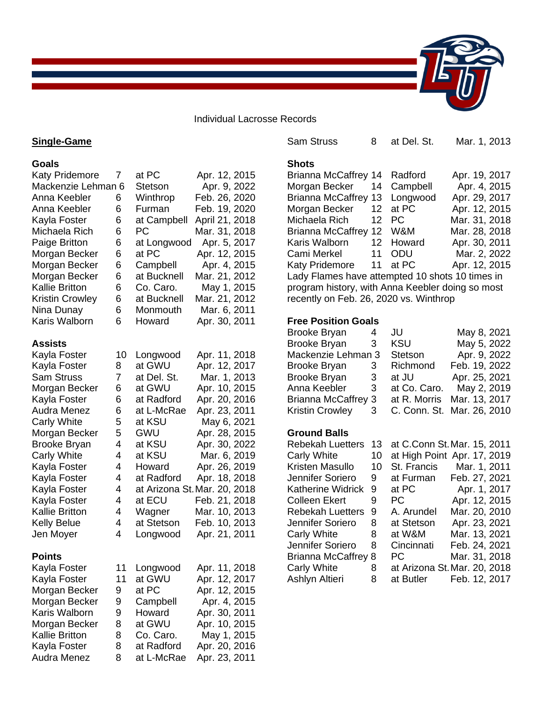#### Individual Lacrosse Records

### **Single-Game**

**Goals**

Sam Struss 8 at Del. St. Mar. 1, 2013 **Shots** Brianna McCaffrey 14 Radford Apr. 19, 2017 Morgan Becker 14 Campbell Apr. 4, 2015 Brianna McCaffrey 13 Longwood Apr. 29, 2017 Morgan Becker 12 at PC Apr. 12, 2015 Michaela Rich 12 PC Mar. 31, 2018 Brianna McCaffrey 12 W&M Mar. 28, 2018 Karis Walborn 12 Howard Apr. 30, 2011 Cami Merkel 11 ODU Mar. 2, 2022 Katy Pridemore 11 at PC Apr. 12, 2015 Lady Flames have attempted 10 shots 10 times in program history, with Anna Keebler doing so most recently on Feb. 26, 2020 vs. Winthrop **Free Position Goals** Brooke Bryan 4 JU May 8, 2021 Brooke Bryan 3 KSU May 5, 2022 Mackenzie Lehman 3 Stetson Apr. 9, 2022 Brooke Bryan 3 Richmond Feb. 19, 2022 Brooke Bryan 3 at JU Apr. 25, 2021 Anna Keebler 3 at Co. Caro. May 2, 2019 Brianna McCaffrey 3 at R. Morris Mar. 13, 2017 Kristin Crowley 3 C. Conn. St. Mar. 26, 2010 **Ground Balls** Rebekah Luetters 13 at C.Conn St.Mar. 15, 2011 Carly White 10 at High Point Apr. 17, 2019 Kristen Masullo 10 St. Francis Mar. 1, 2011 Jennifer Soriero 9 at Furman Feb. 27, 2021 Katherine Widrick 9 at PC Apr. 1, 2017 Colleen Ekert 9 PC Apr. 12, 2015 Rebekah Luetters 9 A. Arundel Mar. 20, 2010 Jennifer Soriero 8 at Stetson Apr. 23, 2021 Carly White 8 at W&M Mar. 13, 2021 Jennifer Soriero 8 Cincinnati Feb. 24, 2021 Brianna McCaffrey 8 PC Mar. 31, 2018 Carly White 8 at Arizona St.Mar. 20, 2018 Ashlyn Altieri 8 at Butler Feb. 12, 2017

| <b>Katy Pridemore</b>  | 7  | at PC          | Apr. 12, 2015                |
|------------------------|----|----------------|------------------------------|
| Mackenzie Lehman 6     |    | <b>Stetson</b> | Apr. 9, 2022                 |
| Anna Keebler           | 6  | Winthrop       | Feb. 26, 2020                |
| Anna Keebler           | 6  | Furman         | Feb. 19, 2020                |
| Kayla Foster           | 6  | at Campbell    | April 21, 2018               |
| Michaela Rich          | 6  | PC             | Mar. 31, 2018                |
| Paige Britton          | 6  | at Longwood    | Apr. 5, 2017                 |
| Morgan Becker          | 6  | at PC          | Apr. 12, 2015                |
| Morgan Becker          | 6  | Campbell       | Apr. 4, 2015                 |
| Morgan Becker          | 6  | at Bucknell    | Mar. 21, 2012                |
| <b>Kallie Britton</b>  | 6  | Co. Caro.      | May 1, 2015                  |
| <b>Kristin Crowley</b> | 6  | at Bucknell    | Mar. 21, 2012                |
| Nina Dunay             | 6  | Monmouth       | Mar. 6, 2011                 |
| Karis Walborn          | 6  | Howard         | Apr. 30, 2011                |
| <b>Assists</b>         |    |                |                              |
| Kayla Foster           | 10 | Longwood       | Apr. 11, 2018                |
| Kayla Foster           | 8  | at GWU         | Apr. 12, 2017                |
| <b>Sam Struss</b>      | 7  | at Del. St.    | Mar. 1, 2013                 |
| Morgan Becker          | 6  | at GWU         | Apr. 10, 2015                |
| Kayla Foster           | 6  | at Radford     | Apr. 20, 2016                |
| <b>Audra Menez</b>     | 6  | at L-McRae     | Apr. 23, 2011                |
| <b>Carly White</b>     | 5  | at KSU         | May 6, 2021                  |
| Morgan Becker          | 5  | GWU            | Apr. 28, 2015                |
| <b>Brooke Bryan</b>    | 4  | at KSU         | Apr. 30, 2022                |
| <b>Carly White</b>     | 4  | at KSU         | Mar. 6, 2019                 |
| Kayla Foster           | 4  | Howard         | Apr. 26, 2019                |
| Kayla Foster           | 4  | at Radford     | Apr. 18, 2018                |
| Kayla Foster           | 4  |                | at Arizona St. Mar. 20, 2018 |
| Kayla Foster           | 4  | at ECU         | Feb. 21, 2018                |
| <b>Kallie Britton</b>  | 4  | Wagner         | Mar. 10, 2013                |
| <b>Kelly Belue</b>     | 4  | at Stetson     | Feb. 10, 2013                |
| Jen Moyer              | 4  | Longwood       | Apr. 21, 2011                |
| <b>Points</b>          |    |                |                              |
| Kayla Foster           | 11 | Longwood       | Apr. 11, 2018                |
| Kayla Foster           | 11 | at GWU         | Apr. 12, 2017                |
| Morgan Becker          | 9  | at PC          | Apr. 12, 2015                |
| Morgan Becker          | 9  | Campbell       | Apr. 4, 2015                 |
| Karis Walborn          | 9  | Howard         | Apr. 30, 2011                |
| Morgan Becker          | 8  | at GWU         | Apr. 10, 2015                |
| <b>Kallie Britton</b>  | 8  | Co. Caro.      | May 1, 2015                  |
| Kayla Foster           | 8  | at Radford     | Apr. 20, 2016                |
| Audra Menez            | 8  | at L-McRae     | Apr. 23, 2011                |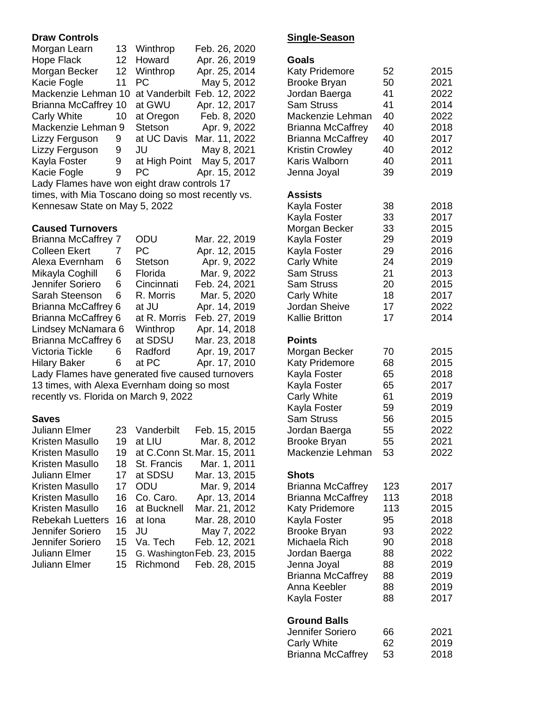## **Draw Controls**

| Morgan Learn                                       | 13 | Winthrop       | Feb. 26, 2020             |  |  |
|----------------------------------------------------|----|----------------|---------------------------|--|--|
| Hope Flack                                         | 12 | Howard         | Apr. 26, 2019             |  |  |
| Morgan Becker                                      | 12 | Winthrop       | Apr. 25, 2014             |  |  |
| Kacie Fogle                                        | 11 | РC             | May 5, 2012               |  |  |
| Mackenzie Lehman 10                                |    | at Vanderbilt  | Feb. 12, 2022             |  |  |
| <b>Brianna McCaffrey 10</b>                        |    | at GWU         | Apr. 12, 2017             |  |  |
| Carly White                                        | 10 | at Oregon      | Feb. 8, 2020              |  |  |
| Mackenzie Lehman 9                                 |    | <b>Stetson</b> | Apr. 9, 2022              |  |  |
| Lizzy Ferguson                                     | 9  |                | at UC Davis Mar. 11, 2022 |  |  |
| Lizzy Ferguson                                     | 9  | JU             | May 8, 2021               |  |  |
| Kayla Foster                                       | 9  | at High Point  | May 5, 2017               |  |  |
| Kacie Fogle                                        | 9  | PC.            | Apr. 15, 2012             |  |  |
| Lady Flames have won eight draw controls 17        |    |                |                           |  |  |
| times, with Mia Toscano doing so most recently vs. |    |                |                           |  |  |
| Kennesaw State on May 5, 2022                      |    |                |                           |  |  |

#### **Caused Turnovers**

| <b>Brianna McCaffrey 7</b>                       |   | ODU            | Mar. 22, 2019 |  |  |
|--------------------------------------------------|---|----------------|---------------|--|--|
| <b>Colleen Ekert</b>                             | 7 | PС             | Apr. 12, 2015 |  |  |
| Alexa Evernham                                   | 6 | <b>Stetson</b> | Apr. 9, 2022  |  |  |
| Mikayla Coghill                                  | 6 | Florida        | Mar. 9, 2022  |  |  |
| Jennifer Soriero                                 | 6 | Cincinnati     | Feb. 24, 2021 |  |  |
| Sarah Steenson                                   | 6 | R. Morris      | Mar. 5, 2020  |  |  |
| Brianna McCaffrey 6                              |   | at JU          | Apr. 14, 2019 |  |  |
| Brianna McCaffrey 6                              |   | at R. Morris   | Feb. 27, 2019 |  |  |
| Lindsey McNamara 6                               |   | Winthrop       | Apr. 14, 2018 |  |  |
| Brianna McCaffrey 6                              |   | at SDSU        | Mar. 23, 2018 |  |  |
| Victoria Tickle                                  | 6 | Radford        | Apr. 19, 2017 |  |  |
| <b>Hilary Baker</b>                              | 6 | at PC          | Apr. 17, 2010 |  |  |
| Lady Flames have generated five caused turnovers |   |                |               |  |  |
| 13 times, with Alexa Evernham doing so most      |   |                |               |  |  |

recently vs. Florida on March 9, 2022

## **Saves**

| Juliann Elmer           | 23  | Vanderbilt  | Feb. 15, 2015               |
|-------------------------|-----|-------------|-----------------------------|
| Kristen Masullo         | 19  | at LIU      | Mar. 8, 2012                |
| Kristen Masullo         | 19  |             | at C.Conn St. Mar. 15, 2011 |
| Kristen Masullo         | 18  | St. Francis | Mar. 1, 2011                |
| Juliann Elmer           | 17  | at SDSU     | Mar. 13, 2015               |
| Kristen Masullo         | 17  | ODU         | Mar. 9, 2014                |
| Kristen Masullo         | 16  | Co. Caro.   | Apr. 13, 2014               |
| Kristen Masullo         | 16. | at Bucknell | Mar. 21, 2012               |
| <b>Rebekah Luetters</b> | 16. | at Iona     | Mar. 28, 2010               |
| Jennifer Soriero        | 15  | JU          | May 7, 2022                 |
| Jennifer Soriero        | 15  | Va. Tech    | Feb. 12, 2021               |
| Juliann Elmer           | 15  |             | G. Washington Feb. 23, 2015 |
| Juliann Elmer           | 15  | Richmond    | Feb. 28, 2015               |
|                         |     |             |                             |

# **Single-Season**

| Goals<br><b>Katy Pridemore</b><br><b>Brooke Bryan</b><br>Jordan Baerga<br><b>Sam Struss</b><br>Mackenzie Lehman<br><b>Brianna McCaffrey</b><br><b>Brianna McCaffrey</b><br><b>Kristin Crowley</b><br>Karis Walborn<br>Jenna Joyal                 | 52<br>50<br>41<br>41<br>40<br>40<br>40<br>40<br>40<br>39          | 2015<br>2021<br>2022<br>2014<br>2022<br>2018<br>2017<br>2012<br>2011<br>2019         |
|---------------------------------------------------------------------------------------------------------------------------------------------------------------------------------------------------------------------------------------------------|-------------------------------------------------------------------|--------------------------------------------------------------------------------------|
| <b>Assists</b><br>Kayla Foster<br>Kayla Foster<br>Morgan Becker<br>Kayla Foster<br>Kayla Foster<br><b>Carly White</b><br><b>Sam Struss</b><br><b>Sam Struss</b><br><b>Carly White</b><br>Jordan Sheive<br><b>Kallie Britton</b>                   | 38<br>33<br>33<br>29<br>29<br>24<br>21<br>20<br>18<br>17<br>17    | 2018<br>2017<br>2015<br>2019<br>2016<br>2019<br>2013<br>2015<br>2017<br>2022<br>2014 |
| <b>Points</b><br>Morgan Becker<br>Katy Pridemore<br>Kayla Foster<br>Kayla Foster<br><b>Carly White</b><br>Kayla Foster<br><b>Sam Struss</b><br>Jordan Baerga<br><b>Brooke Bryan</b><br>Mackenzie Lehman                                           | 70<br>68<br>65<br>65<br>61<br>59<br>56<br>55<br>55<br>53          | 2015<br>2015<br>2018<br>2017<br>2019<br>2019<br>2015<br>2022<br>2021<br>2022         |
| <b>Shots</b><br><b>Brianna McCaffrey</b><br><b>Brianna McCaffrey</b><br><b>Katy Pridemore</b><br>Kayla Foster<br><b>Brooke Bryan</b><br>Michaela Rich<br>Jordan Baerga<br>Jenna Joyal<br><b>Brianna McCaffrey</b><br>Anna Keebler<br>Kayla Foster | 123<br>113<br>113<br>95<br>93<br>90<br>88<br>88<br>88<br>88<br>88 | 2017<br>2018<br>2015<br>2018<br>2022<br>2018<br>2022<br>2019<br>2019<br>2019<br>2017 |
| <b>Ground Balls</b><br>Jennifer Soriero<br><b>Carly White</b><br><b>Brianna McCaffrey</b>                                                                                                                                                         | 66<br>62<br>53                                                    | 2021<br>2019<br>2018                                                                 |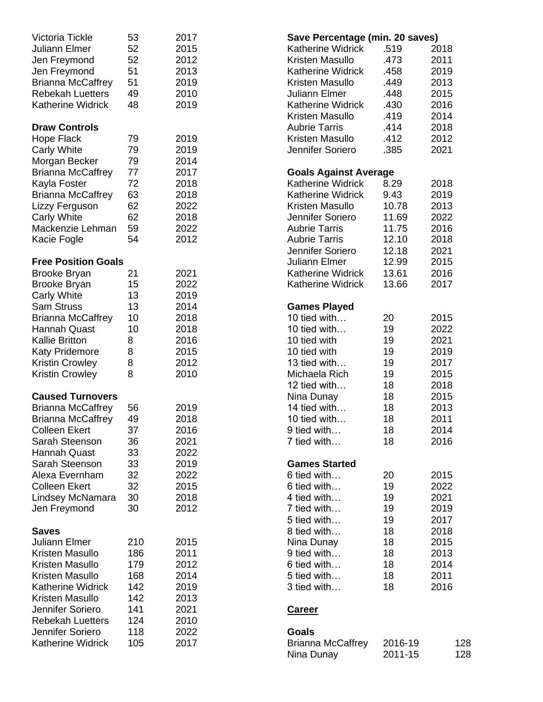| Victoria Tickle            | 53  | 2017 | Save Percentage (min. 20 saves) |         |      |
|----------------------------|-----|------|---------------------------------|---------|------|
| Juliann Elmer              | 52  | 2015 | <b>Katherine Widrick</b>        | .519    | 2018 |
| Jen Freymond               | 52  | 2012 | Kristen Masullo                 | .473    | 2011 |
| Jen Freymond               | 51  | 2013 | <b>Katherine Widrick</b>        | .458    | 2019 |
| <b>Brianna McCaffrey</b>   | 51  | 2019 | Kristen Masullo                 | .449    | 2013 |
| <b>Rebekah Luetters</b>    | 49  | 2010 | Juliann Elmer                   | .448    | 2015 |
| <b>Katherine Widrick</b>   | 48  | 2019 | Katherine Widrick               | .430    | 2016 |
|                            |     |      | Kristen Masullo                 | .419    | 2014 |
| <b>Draw Controls</b>       |     |      | <b>Aubrie Tarris</b>            | .414    | 2018 |
| Hope Flack                 | 79  | 2019 | Kristen Masullo                 | .412    | 2012 |
|                            | 79  | 2019 | Jennifer Soriero                | .385    | 2021 |
| <b>Carly White</b>         | 79  | 2014 |                                 |         |      |
| Morgan Becker              |     |      |                                 |         |      |
| <b>Brianna McCaffrey</b>   | 77  | 2017 | <b>Goals Against Average</b>    |         |      |
| Kayla Foster               | 72  | 2018 | <b>Katherine Widrick</b>        | 8.29    | 2018 |
| <b>Brianna McCaffrey</b>   | 63  | 2018 | <b>Katherine Widrick</b>        | 9.43    | 2019 |
| Lizzy Ferguson             | 62  | 2022 | Kristen Masullo                 | 10.78   | 2013 |
| <b>Carly White</b>         | 62  | 2018 | Jennifer Soriero                | 11.69   | 2022 |
| Mackenzie Lehman           | 59  | 2022 | <b>Aubrie Tarris</b>            | 11.75   | 2016 |
| Kacie Fogle                | 54  | 2012 | <b>Aubrie Tarris</b>            | 12.10   | 2018 |
|                            |     |      | Jennifer Soriero                | 12.18   | 2021 |
| <b>Free Position Goals</b> |     |      | Juliann Elmer                   | 12.99   | 2015 |
| <b>Brooke Bryan</b>        | 21  | 2021 | <b>Katherine Widrick</b>        | 13.61   | 2016 |
| <b>Brooke Bryan</b>        | 15  | 2022 | <b>Katherine Widrick</b>        | 13.66   | 2017 |
| <b>Carly White</b>         | 13  | 2019 |                                 |         |      |
| <b>Sam Struss</b>          | 13  | 2014 | <b>Games Played</b>             |         |      |
| <b>Brianna McCaffrey</b>   | 10  | 2018 | 10 tied with                    | 20      | 2015 |
| Hannah Quast               | 10  | 2018 | 10 tied with                    | 19      | 2022 |
| <b>Kallie Britton</b>      | 8   | 2016 | 10 tied with                    | 19      | 2021 |
| <b>Katy Pridemore</b>      | 8   | 2015 | 10 tied with                    | 19      | 2019 |
| <b>Kristin Crowley</b>     | 8   | 2012 | 13 tied with                    | 19      | 2017 |
|                            | 8   | 2010 | Michaela Rich                   | 19      | 2015 |
| <b>Kristin Crowley</b>     |     |      |                                 |         |      |
|                            |     |      | 12 tied with                    | 18      | 2018 |
| <b>Caused Turnovers</b>    |     |      | Nina Dunay                      | 18      | 2015 |
| <b>Brianna McCaffrey</b>   | 56  | 2019 | 14 tied with                    | 18      | 2013 |
| <b>Brianna McCaffrey</b>   | 49  | 2018 | 10 tied with                    | 18      | 2011 |
| Colleen Ekert              | 37  | 2016 | 9 tied with                     | 18      | 2014 |
| Sarah Steenson             | 36  | 2021 | 7 tied with                     | 18      | 2016 |
| <b>Hannah Quast</b>        | 33  | 2022 |                                 |         |      |
| Sarah Steenson             | 33  | 2019 | <b>Games Started</b>            |         |      |
| Alexa Evernham             | 32  | 2022 | 6 tied with                     | 20      | 2015 |
| <b>Colleen Ekert</b>       | 32  | 2015 | 6 tied with                     | 19      | 2022 |
| Lindsey McNamara           | 30  | 2018 | 4 tied with                     | 19      | 2021 |
| Jen Freymond               | 30  | 2012 | 7 tied with                     | 19      | 2019 |
|                            |     |      | 5 tied with                     | 19      | 2017 |
| <b>Saves</b>               |     |      | 8 tied with                     | 18      | 2018 |
| Juliann Elmer              | 210 | 2015 | Nina Dunay                      | 18      | 2015 |
| Kristen Masullo            | 186 | 2011 | 9 tied with                     | 18      | 2013 |
| Kristen Masullo            | 179 | 2012 | 6 tied with                     | 18      | 2014 |
| Kristen Masullo            | 168 | 2014 | 5 tied with                     | 18      | 2011 |
| <b>Katherine Widrick</b>   | 142 | 2019 | 3 tied with                     | 18      | 2016 |
| Kristen Masullo            | 142 | 2013 |                                 |         |      |
| Jennifer Soriero           | 141 | 2021 |                                 |         |      |
|                            |     |      | <b>Career</b>                   |         |      |
| <b>Rebekah Luetters</b>    | 124 | 2010 |                                 |         |      |
| Jennifer Soriero           | 118 | 2022 | <b>Goals</b>                    |         |      |
| <b>Katherine Widrick</b>   | 105 | 2017 | <b>Brianna McCaffrey</b>        | 2016-19 | 128  |
|                            |     |      | Nina Dunay                      | 2011-15 | 128  |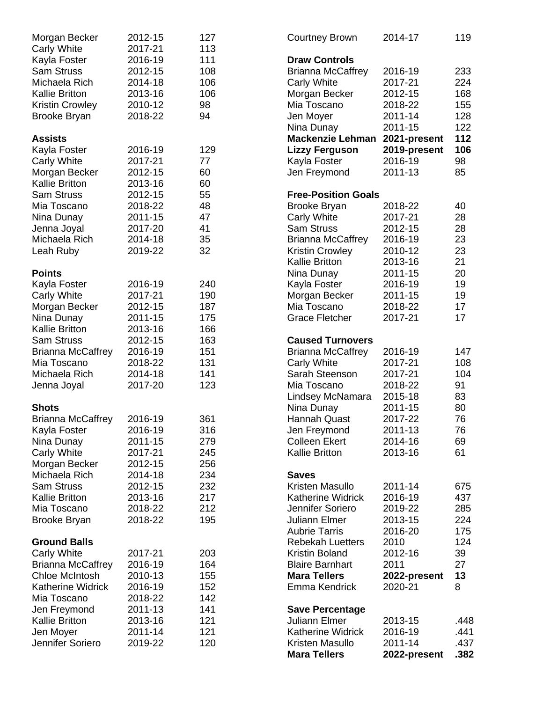| Morgan Becker            | 2012-15 | 127 | <b>Courtney Brown</b>      | 2014-17      | 119  |
|--------------------------|---------|-----|----------------------------|--------------|------|
| <b>Carly White</b>       | 2017-21 | 113 |                            |              |      |
| Kayla Foster             | 2016-19 | 111 | <b>Draw Controls</b>       |              |      |
| <b>Sam Struss</b>        | 2012-15 | 108 | <b>Brianna McCaffrey</b>   | 2016-19      | 233  |
| Michaela Rich            | 2014-18 | 106 | <b>Carly White</b>         | 2017-21      | 224  |
| <b>Kallie Britton</b>    | 2013-16 | 106 | Morgan Becker              | 2012-15      | 168  |
| <b>Kristin Crowley</b>   | 2010-12 | 98  | Mia Toscano                | 2018-22      | 155  |
| <b>Brooke Bryan</b>      | 2018-22 | 94  | Jen Moyer                  | 2011-14      | 128  |
|                          |         |     | Nina Dunay                 | 2011-15      | 122  |
| <b>Assists</b>           |         |     | <b>Mackenzie Lehman</b>    | 2021-present | 112  |
| Kayla Foster             | 2016-19 | 129 | <b>Lizzy Ferguson</b>      | 2019-present | 106  |
| <b>Carly White</b>       | 2017-21 | 77  | Kayla Foster               | 2016-19      | 98   |
| Morgan Becker            | 2012-15 | 60  | Jen Freymond               | 2011-13      | 85   |
| <b>Kallie Britton</b>    | 2013-16 | 60  |                            |              |      |
| <b>Sam Struss</b>        | 2012-15 | 55  | <b>Free-Position Goals</b> |              |      |
| Mia Toscano              | 2018-22 | 48  | <b>Brooke Bryan</b>        | 2018-22      | 40   |
| Nina Dunay               | 2011-15 | 47  | Carly White                | 2017-21      | 28   |
| Jenna Joyal              | 2017-20 | 41  | <b>Sam Struss</b>          | 2012-15      | 28   |
| Michaela Rich            | 2014-18 | 35  | <b>Brianna McCaffrey</b>   | 2016-19      | 23   |
| Leah Ruby                | 2019-22 | 32  | <b>Kristin Crowley</b>     | 2010-12      | 23   |
|                          |         |     | <b>Kallie Britton</b>      | 2013-16      | 21   |
| <b>Points</b>            |         |     | Nina Dunay                 | 2011-15      | 20   |
|                          | 2016-19 | 240 |                            |              | 19   |
| Kayla Foster             | 2017-21 | 190 | Kayla Foster               | 2016-19      |      |
| <b>Carly White</b>       |         |     | Morgan Becker              | 2011-15      | 19   |
| Morgan Becker            | 2012-15 | 187 | Mia Toscano                | 2018-22      | 17   |
| Nina Dunay               | 2011-15 | 175 | <b>Grace Fletcher</b>      | 2017-21      | 17   |
| <b>Kallie Britton</b>    | 2013-16 | 166 |                            |              |      |
| <b>Sam Struss</b>        | 2012-15 | 163 | <b>Caused Turnovers</b>    |              |      |
| <b>Brianna McCaffrey</b> | 2016-19 | 151 | <b>Brianna McCaffrey</b>   | 2016-19      | 147  |
| Mia Toscano              | 2018-22 | 131 | Carly White                | 2017-21      | 108  |
| Michaela Rich            | 2014-18 | 141 | Sarah Steenson             | 2017-21      | 104  |
| Jenna Joyal              | 2017-20 | 123 | Mia Toscano                | 2018-22      | 91   |
|                          |         |     | Lindsey McNamara           | 2015-18      | 83   |
| <b>Shots</b>             |         |     | Nina Dunay                 | 2011-15      | 80   |
| <b>Brianna McCaffrey</b> | 2016-19 | 361 | Hannah Quast               | 2017-22      | 76   |
| Kayla Foster             | 2016-19 | 316 | Jen Freymond               | 2011-13      | 76   |
| Nina Dunay               | 2011-15 | 279 | <b>Colleen Ekert</b>       | 2014-16      | 69   |
| <b>Carly White</b>       | 2017-21 | 245 | <b>Kallie Britton</b>      | 2013-16      | 61   |
| Morgan Becker            | 2012-15 | 256 |                            |              |      |
| Michaela Rich            | 2014-18 | 234 | <b>Saves</b>               |              |      |
| <b>Sam Struss</b>        | 2012-15 | 232 | <b>Kristen Masullo</b>     | 2011-14      | 675  |
| <b>Kallie Britton</b>    | 2013-16 | 217 | <b>Katherine Widrick</b>   | 2016-19      | 437  |
| Mia Toscano              | 2018-22 | 212 | Jennifer Soriero           | 2019-22      | 285  |
| <b>Brooke Bryan</b>      | 2018-22 | 195 | <b>Juliann Elmer</b>       | 2013-15      | 224  |
|                          |         |     | <b>Aubrie Tarris</b>       | 2016-20      | 175  |
| <b>Ground Balls</b>      |         |     | <b>Rebekah Luetters</b>    | 2010         | 124  |
| <b>Carly White</b>       | 2017-21 | 203 | <b>Kristin Boland</b>      | 2012-16      | 39   |
| <b>Brianna McCaffrey</b> | 2016-19 | 164 | <b>Blaire Barnhart</b>     | 2011         | 27   |
| <b>Chloe McIntosh</b>    | 2010-13 | 155 | <b>Mara Tellers</b>        | 2022-present | 13   |
| Katherine Widrick        | 2016-19 | 152 | Emma Kendrick              | 2020-21      | 8    |
| Mia Toscano              | 2018-22 | 142 |                            |              |      |
| Jen Freymond             | 2011-13 | 141 | <b>Save Percentage</b>     |              |      |
| <b>Kallie Britton</b>    | 2013-16 | 121 | <b>Juliann Elmer</b>       | 2013-15      | .448 |
| Jen Moyer                | 2011-14 | 121 | <b>Katherine Widrick</b>   | 2016-19      | .441 |
| Jennifer Soriero         | 2019-22 | 120 | Kristen Masullo            | 2011-14      | .437 |
|                          |         |     | <b>Mara Tellers</b>        | 2022-present | .382 |